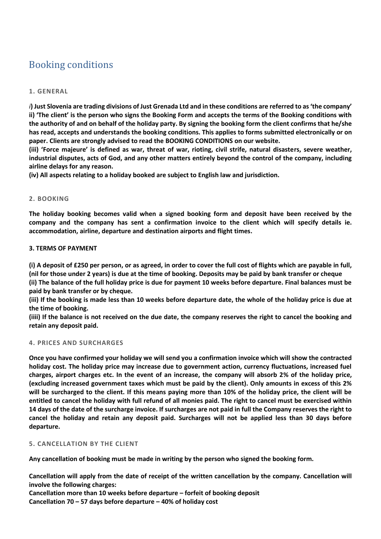# Booking conditions

# **1. GENERAL**

*i***) Just Slovenia are trading divisions of Just Grenada Ltd and in these conditions are referred to as 'the company' ii) 'The client' is the person who signs the Booking Form and accepts the terms of the Booking conditions with the authority of and on behalf of the holiday party. By signing the booking form the client confirms that he/she has read, accepts and understands the booking conditions. This applies to forms submitted electronically or on paper. Clients are strongly advised to read the BOOKING CONDITIONS on our website.**

**(iii) 'Force majeure' is defined as war, threat of war, rioting, civil strife, natural disasters, severe weather, industrial disputes, acts of God, and any other matters entirely beyond the control of the company, including airline delays for any reason.**

**(iv) All aspects relating to a holiday booked are subject to English law and jurisdiction.**

# **2. BOOKING**

**The holiday booking becomes valid when a signed booking form and deposit have been received by the company and the company has sent a confirmation invoice to the client which will specify details ie. accommodation, airline, departure and destination airports and flight times.**

# **3. TERMS OF PAYMENT**

**(i) A deposit of £250 per person, or as agreed, in order to cover the full cost of flights which are payable in full, (nil for those under 2 years) is due at the time of booking. Deposits may be paid by bank transfer or cheque** 

**(ii) The balance of the full holiday price is due for payment 10 weeks before departure. Final balances must be paid by bank transfer or by cheque.**

**(iii) If the booking is made less than 10 weeks before departure date, the whole of the holiday price is due at the time of booking.**

**(iiii) If the balance is not received on the due date, the company reserves the right to cancel the booking and retain any deposit paid.**

# **4. PRICES AND SURCHARGES**

**Once you have confirmed your holiday we will send you a confirmation invoice which will show the contracted holiday cost. The holiday price may increase due to government action, currency fluctuations, increased fuel charges, airport charges etc. In the event of an increase, the company will absorb 2% of the holiday price, (excluding increased government taxes which must be paid by the client). Only amounts in excess of this 2% will be surcharged to the client. If this means paying more than 10% of the holiday price, the client will be entitled to cancel the holiday with full refund of all monies paid. The right to cancel must be exercised within 14 days of the date of the surcharge invoice. If surcharges are not paid in full the Company reserves the right to cancel the holiday and retain any deposit paid. Surcharges will not be applied less than 30 days before departure.**

# **5. CANCELLATION BY THE CLIENT**

**Any cancellation of booking must be made in writing by the person who signed the booking form.**

**Cancellation will apply from the date of receipt of the written cancellation by the company. Cancellation will involve the following charges:**

**Cancellation more than 10 weeks before departure – forfeit of booking deposit Cancellation 70 – 57 days before departure – 40% of holiday cost**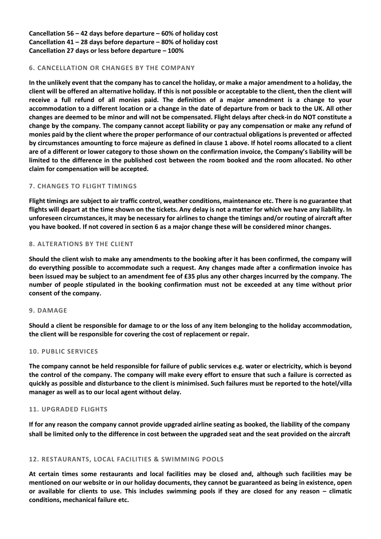**Cancellation 56 – 42 days before departure – 60% of holiday cost Cancellation 41 – 28 days before departure – 80% of holiday cost Cancellation 27 days or less before departure – 100%**

## **6. CANCELLATION OR CHANGES BY THE COMPANY**

**In the unlikely event that the company has to cancel the holiday, or make a major amendment to a holiday, the client will be offered an alternative holiday. If this is not possible or acceptable to the client, then the client will receive a full refund of all monies paid. The definition of a major amendment is a change to your accommodation to a different location or a change in the date of departure from or back to the UK. All other changes are deemed to be minor and will not be compensated. Flight delays after check-in do NOT constitute a change by the company. The company cannot accept liability or pay any compensation or make any refund of monies paid by the client where the proper performance of our contractual obligations is prevented or affected by circumstances amounting to force majeure as defined in clause 1 above. If hotel rooms allocated to a client are of a different or lower category to those shown on the confirmation invoice, the Company's liability will be limited to the difference in the published cost between the room booked and the room allocated. No other claim for compensation will be accepted.**

# **7. CHANGES TO FLIGHT TIMINGS**

**Flight timings are subject to air traffic control, weather conditions, maintenance etc. There is no guarantee that flights will depart at the time shown on the tickets. Any delay is not a matter for which we have any liability. In unforeseen circumstances, it may be necessary for airlines to change the timings and/or routing of aircraft after you have booked. If not covered in section 6 as a major change these will be considered minor changes.**

# **8. ALTERATIONS BY THE CLIENT**

**Should the client wish to make any amendments to the booking after it has been confirmed, the company will do everything possible to accommodate such a request. Any changes made after a confirmation invoice has been issued may be subject to an amendment fee of £35 plus any other charges incurred by the company. The number of people stipulated in the booking confirmation must not be exceeded at any time without prior consent of the company.**

#### **9. DAMAGE**

**Should a client be responsible for damage to or the loss of any item belonging to the holiday accommodation, the client will be responsible for covering the cost of replacement or repair.** 

#### **10. PUBLIC SERVICES**

**The company cannot be held responsible for failure of public services e.g. water or electricity, which is beyond the control of the company. The company will make every effort to ensure that such a failure is corrected as quickly as possible and disturbance to the client is minimised. Such failures must be reported to the hotel/villa manager as well as to our local agent without delay.**

#### **11. UPGRADED FLIGHTS**

**If for any reason the company cannot provide upgraded airline seating as booked, the liability of the company shall be limited only to the difference in cost between the upgraded seat and the seat provided on the aircraft**

#### **12. RESTAURANTS, LOCAL FACILITIES & SWIMMING POOLS**

**At certain times some restaurants and local facilities may be closed and, although such facilities may be mentioned on our website or in our holiday documents, they cannot be guaranteed as being in existence, open or available for clients to use. This includes swimming pools if they are closed for any reason – climatic conditions, mechanical failure etc.**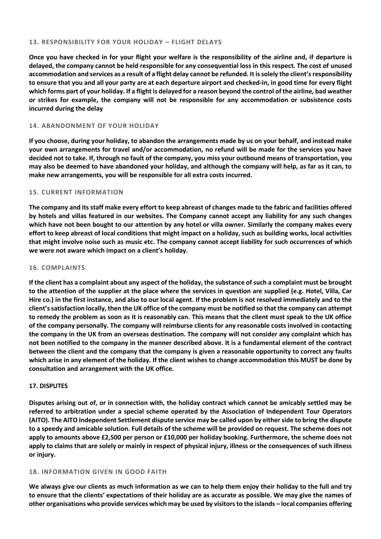## **13. RESPONSIBILITY FOR YOUR HOLIDAY – FLIGHT DELAYS**

**Once you have checked in for your flight your welfare is the responsibility of the airline and, if departure is delayed, the company cannot be held responsible for any consequential loss in this respect. The cost of unused accommodation and services as a result of a flight delay cannot be refunded. It is solely the client'sresponsibility to ensure that you and all your party are at each departure airport and checked-in, in good time for every flight which forms part of your holiday. If a flight is delayed for a reason beyond the control of the airline, bad weather or strikes for example, the company will not be responsible for any accommodation or subsistence costs incurred during the delay**

## **14. ABANDONMENT OF YOUR HOLIDAY**

**If you choose, during your holiday, to abandon the arrangements made by us on your behalf, and instead make your own arrangements for travel and/or accommodation, no refund will be made for the services you have decided not to take. If, through no fault of the company, you miss your outbound means of transportation, you may also be deemed to have abandoned your holiday, and although the company will help, as far as it can, to make new arrangements, you will be responsible for all extra costs incurred.**

## **15. CURRENT INFORMATION**

**The company and its staff make every effort to keep abreast of changes made to the fabric and facilities offered by hotels and villas featured in our websites. The Company cannot accept any liability for any such changes which have not been bought to our attention by any hotel or villa owner. Similarly the company makes every effort to keep abreast of local conditions that might impact on a holiday, such as building works, local activities that might involve noise such as music etc. The company cannot accept liability for such occurrences of which we were not aware which impact on a client's holiday.**

## **16. COMPLAINTS**

**If the client has a complaint about any aspect of the holiday, the substance of such a complaint must be brought to the attention of the supplier at the place where the services in question are supplied (e.g. Hotel, Villa, Car Hire co.) in the first instance, and also to our local agent. If the problem is not resolved immediately and to the client'ssatisfaction locally, then the UK office of the company must be notified so that the company can attempt to remedy the problem as soon as it is reasonably can. This means that the client must speak to the UK office of the company personally. The company will reimburse clients for any reasonable costs involved in contacting the company in the UK from an overseas destination. The company will not consider any complaint which has not been notified to the company in the manner described above. It is a fundamental element of the contract between the client and the company that the company is given a reasonable opportunity to correct any faults which arise in any element of the holiday. If the client wishes to change accommodation this MUST be done by consultation and arrangement with the UK office.**

#### **17. DISPUTES**

**Disputes arising out of, or in connection with, the holiday contract which cannot be amicably settled may be referred to arbitration under a special scheme operated by the Association of Independent Tour Operators (AITO). The AITO Independent Settlement dispute service may be called upon by either side to bring the dispute to a speedy and amicable solution. Full details of the scheme will be provided on request. The scheme does not apply to amounts above £2,500 per person or £10,000 per holiday booking. Furthermore, the scheme does not apply to claims that are solely or mainly in respect of physical injury, illness or the consequences of such illness or injury.**

# **18. INFORMATION GIVEN IN GOOD FAITH**

**We always give our clients as much information as we can to help them enjoy their holiday to the full and try to ensure that the clients' expectations of their holiday are as accurate as possible. We may give the names of other organisations who provide services which may be used by visitors to the islands – local companies offering**